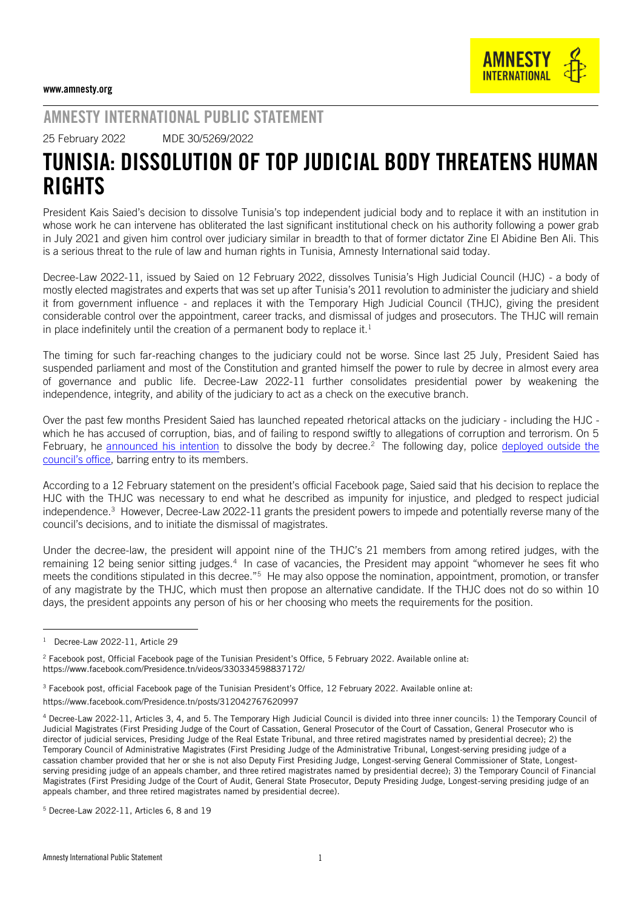## AMNESTY INTERNATIONAL PUBLIC STATEMENT

25 February 2022 MDE 30/5269/2022

## TUNISIA: DISSOLUTION OF TOP JUDICIAL BODY THREATENS HUMAN **RIGHTS**

President Kais Saied's decision to dissolve Tunisia's top independent judicial body and to replace it with an institution in whose work he can intervene has obliterated the last significant institutional check on his authority following a power grab in July 2021 and given him control over judiciary similar in breadth to that of former dictator Zine El Abidine Ben Ali. This is a serious threat to the rule of law and human rights in Tunisia, Amnesty International said today.

Decree-Law 2022-11, issued by Saied on 12 February 2022, dissolves Tunisia's High Judicial Council (HJC) - a body of mostly elected magistrates and experts that was set up after Tunisia's 2011 revolution to administer the judiciary and shield it from government influence - and replaces it with the Temporary High Judicial Council (THJC), giving the president considerable control over the appointment, career tracks, and dismissal of judges and prosecutors. The THJC will remain in place indefinitely until the creation of a permanent body to replace it.<sup>1</sup>

The timing for such far-reaching changes to the judiciary could not be worse. Since last 25 July, President Saied has suspended parliament and most of the Constitution and granted himself the power to rule by decree in almost every area of governance and public life. Decree-Law 2022-11 further consolidates presidential power by weakening the independence, integrity, and ability of the judiciary to act as a check on the executive branch.

Over the past few months President Saied has launched repeated rhetorical attacks on the judiciary - including the HJC which he has accused of corruption, bias, and of failing to respond swiftly to allegations of corruption and terrorism. On 5 February, he [announced his intention](https://www.facebook.com/Presidence.tn/videos/330334598837172/) to dissolve the body by decree.<sup>2</sup> The following day, police deployed outside the [council's office](https://www.amnesty.org/en/latest/news/2022/02/tunisia-presidents-moves-to-shut-down-high-judicial-council-poses-grave-threat-to-human-rights/), barring entry to its members.

According to a 12 February [statement](https://www.facebook.com/Presidence.tn/posts/312042767620997) on the president's official Facebook page, Saied said that his decision to replace the HJC with the THJC was necessary to end what he described as impunity for injustice, and pledged to respect judicial independence.<sup>3</sup> However, Decree-Law 2022-11 grants the president powers to impede and potentially reverse many of the council's decisions, and to initiate the dismissal of magistrates.

Under the decree-law, the president will appoint nine of the THJC's 21 members from among retired judges, with the remaining 12 being senior sitting judges.<sup>4</sup> In case of vacancies, the President may appoint "whomever he sees fit who meets the conditions stipulated in this decree."<sup>5</sup> He may also oppose the nomination, appointment, promotion, or transfer of any magistrate by the THJC, which must then propose an alternative candidate. If the THJC does not do so within 10 days, the president appoints any person of his or her choosing who meets the requirements for the position.

l

<sup>1</sup> Decree-Law 2022-11, Article 29

 $2$  Facebook post, Official Facebook page of the Tunisian President's Office, 5 February 2022. Available online at: https://www.facebook.com/Presidence.tn/videos/330334598837172/

<sup>&</sup>lt;sup>3</sup> Facebook post, official Facebook page of the Tunisian President's Office, 12 February 2022. Available online at: https://www.facebook.com/Presidence.tn/posts/312042767620997

<sup>4</sup> Decree-Law 2022-11, Articles 3, 4, and 5. The Temporary High Judicial Council is divided into three inner councils: 1) the Temporary Council of Judicial Magistrates (First Presiding Judge of the Court of Cassation, General Prosecutor of the Court of Cassation, General Prosecutor who is director of judicial services, Presiding Judge of the Real Estate Tribunal, and three retired magistrates named by presidential decree); 2) the Temporary Council of Administrative Magistrates (First Presiding Judge of the Administrative Tribunal, Longest-serving presiding judge of a cassation chamber provided that her or she is not also Deputy First Presiding Judge, Longest-serving General Commissioner of State, Longestserving presiding judge of an appeals chamber, and three retired magistrates named by presidential decree); 3) the Temporary Council of Financial Magistrates (First Presiding Judge of the Court of Audit, General State Prosecutor, Deputy Presiding Judge, Longest-serving presiding judge of an appeals chamber, and three retired magistrates named by presidential decree).

<sup>5</sup> Decree-Law 2022-11, Articles 6, 8 and 19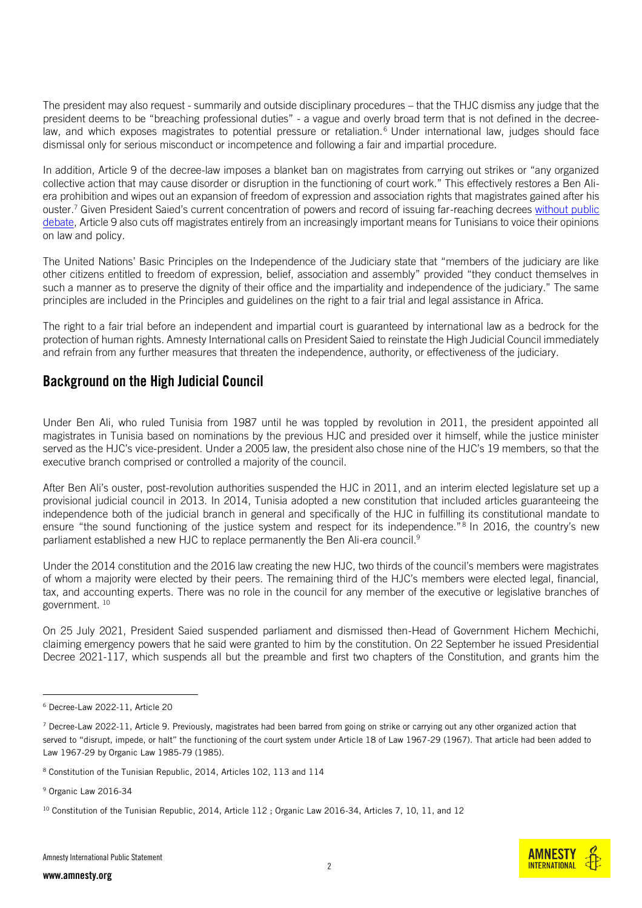The president may also request - summarily and outside disciplinary procedures – that the THJC dismiss any judge that the president deems to be "breaching professional duties" - a vague and overly broad term that is not defined in the decreelaw, and which exposes magistrates to potential pressure or retaliation.<sup>6</sup> Under international law, judges should face dismissal only for serious misconduct or incompetence and following a fair and impartial procedure.

In addition, Article 9 of the decree-law imposes a blanket ban on magistrates from carrying out strikes or "any organized collective action that may cause disorder or disruption in the functioning of court work." This effectively restores a Ben Aliera prohibition and wipes out an expansion of freedom of expression and association rights that magistrates gained after his ouster.<sup>7</sup> Given President Saied's current concentration of powers and record of issuing far-reaching decrees [without public](https://www.amnesty.org/en/latest/news/2021/12/tunisia-must-halt-covid-vaccine-pass/)  [debate,](https://www.amnesty.org/en/latest/news/2021/12/tunisia-must-halt-covid-vaccine-pass/) Article 9 also cuts off magistrates entirely from an increasingly important means for Tunisians to voice their opinions on law and policy.

The United Nations' Basic Principles on the Independence of the Judiciary state that "members of the judiciary are like other citizens entitled to freedom of expression, belief, association and assembly" provided "they conduct themselves in such a manner as to preserve the dignity of their office and the impartiality and independence of the judiciary." The same principles are included in the Principles and guidelines on the right to a fair trial and legal assistance in Africa.

The right to a fair trial before an independent and impartial court is guaranteed by international law as a bedrock for the protection of human rights. Amnesty International calls on President Saied to reinstate the High Judicial Council immediately and refrain from any further measures that threaten the independence, authority, or effectiveness of the judiciary.

## Background on the High Judicial Council

Under Ben Ali, who ruled Tunisia from 1987 until he was toppled by revolution in 2011, the president appointed all magistrates in Tunisia based on nominations by the previous HJC and presided over it himself, while the justice minister served as the HJC's vice-president. Under a 2005 law, the president also chose nine of the HJC's 19 members, so that the executive branch comprised or controlled a majority of the council.

After Ben Ali's ouster, post-revolution authorities suspended the HJC in 2011, and an interim elected legislature set up a provisional judicial council in 2013. In 2014, Tunisia adopted a new constitution that included articles guaranteeing the independence both of the judicial branch in general and specifically of the HJC in fulfilling its constitutional mandate to ensure "the sound functioning of the justice system and respect for its independence."<sup>8</sup> In 2016, the country's new parliament established a new HJC to replace permanently the Ben Ali-era council.<sup>9</sup>

Under the 2014 constitution and the 2016 law creating the new HJC, two thirds of the council's members were magistrates of whom a majority were elected by their peers. The remaining third of the HJC's members were elected legal, financial, tax, and accounting experts. There was no role in the council for any member of the executive or legislative branches of government. <sup>10</sup>

On 25 July 2021, President Saied suspended parliament and dismissed then-Head of Government Hichem Mechichi, claiming emergency powers that he said were granted to him by the constitution. On 22 September he issued Presidential Decree 2021-117, which suspends all but the preamble and first two chapters of the Constitution, and grants him the

<sup>9</sup> Organic Law 2016-34

-



<sup>6</sup> Decree-Law 2022-11, Article 20

 $7$  Decree-Law 2022-11, Article 9. Previously, magistrates had been barred from going on strike or carrying out any other organized action that served to "disrupt, impede, or halt" the functioning of the court system under Article 18 of Law 1967-29 (1967). That article had been added to Law 1967-29 by Organic Law 1985-79 (1985).

<sup>8</sup> Constitution of the Tunisian Republic, 2014, Articles 102, 113 and 114

<sup>&</sup>lt;sup>10</sup> Constitution of the Tunisian Republic, 2014, Article 112 ; Organic Law 2016-34, Articles 7, 10, 11, and 12